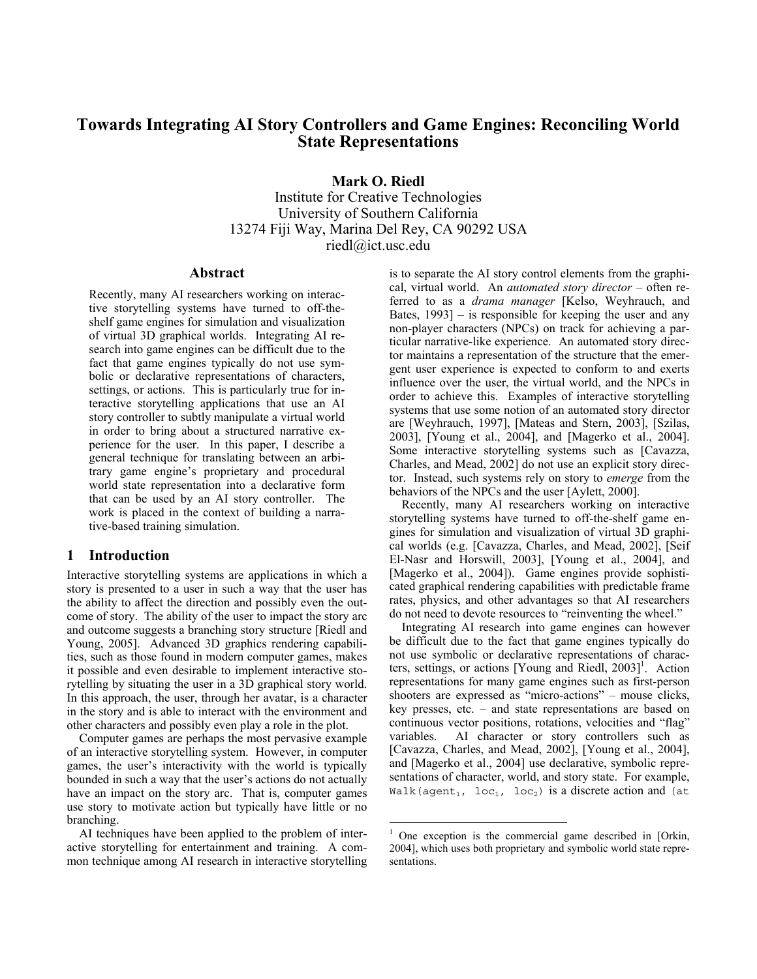# **Towards Integrating AI Story Controllers and Game Engines: Reconciling World State Representations**

**Mark O. Riedl** 

Institute for Creative Technologies University of Southern California 13274 Fiji Way, Marina Del Rey, CA 90292 USA riedl@ict.usc.edu

 $\overline{a}$ 

#### **Abstract**

Recently, many AI researchers working on interactive storytelling systems have turned to off-theshelf game engines for simulation and visualization of virtual 3D graphical worlds. Integrating AI research into game engines can be difficult due to the fact that game engines typically do not use symbolic or declarative representations of characters, settings, or actions. This is particularly true for interactive storytelling applications that use an AI story controller to subtly manipulate a virtual world in order to bring about a structured narrative experience for the user. In this paper, I describe a general technique for translating between an arbitrary game engine's proprietary and procedural world state representation into a declarative form that can be used by an AI story controller. The work is placed in the context of building a narrative-based training simulation.

#### **1 Introduction**

Interactive storytelling systems are applications in which a story is presented to a user in such a way that the user has the ability to affect the direction and possibly even the outcome of story. The ability of the user to impact the story arc and outcome suggests a branching story structure [Riedl and Young, 2005]. Advanced 3D graphics rendering capabilities, such as those found in modern computer games, makes it possible and even desirable to implement interactive storytelling by situating the user in a 3D graphical story world. In this approach, the user, through her avatar, is a character in the story and is able to interact with the environment and other characters and possibly even play a role in the plot.

Computer games are perhaps the most pervasive example of an interactive storytelling system. However, in computer games, the user's interactivity with the world is typically bounded in such a way that the user's actions do not actually have an impact on the story arc. That is, computer games use story to motivate action but typically have little or no branching.

AI techniques have been applied to the problem of interactive storytelling for entertainment and training. A common technique among AI research in interactive storytelling is to separate the AI story control elements from the graphical, virtual world. An *automated story director* – often referred to as a *drama manager* [Kelso, Weyhrauch, and Bates, 1993] – is responsible for keeping the user and any non-player characters (NPCs) on track for achieving a particular narrative-like experience. An automated story director maintains a representation of the structure that the emergent user experience is expected to conform to and exerts influence over the user, the virtual world, and the NPCs in order to achieve this. Examples of interactive storytelling systems that use some notion of an automated story director are [Weyhrauch, 1997], [Mateas and Stern, 2003], [Szilas, 2003], [Young et al., 2004], and [Magerko et al., 2004]. Some interactive storytelling systems such as [Cavazza, Charles, and Mead, 2002] do not use an explicit story director. Instead, such systems rely on story to *emerge* from the behaviors of the NPCs and the user [Aylett, 2000].

Recently, many AI researchers working on interactive storytelling systems have turned to off-the-shelf game engines for simulation and visualization of virtual 3D graphical worlds (e.g. [Cavazza, Charles, and Mead, 2002], [Seif El-Nasr and Horswill, 2003], [Young et al., 2004], and [Magerko et al., 2004]). Game engines provide sophisticated graphical rendering capabilities with predictable frame rates, physics, and other advantages so that AI researchers do not need to devote resources to "reinventing the wheel."

Integrating AI research into game engines can however be difficult due to the fact that game engines typically do not use symbolic or declarative representations of characters, settings, or actions [Young and Riedl, 2003]<sup>1</sup>. Action representations for many game engines such as first-person shooters are expressed as "micro-actions" – mouse clicks, key presses, etc. – and state representations are based on continuous vector positions, rotations, velocities and "flag" variables. AI character or story controllers such as [Cavazza, Charles, and Mead, 2002], [Young et al., 2004], and [Magerko et al., 2004] use declarative, symbolic representations of character, world, and story state. For example, Walk(agent<sub>1</sub>, loc<sub>1</sub>, loc<sub>2</sub>) is a discrete action and (at

<sup>1</sup> One exception is the commercial game described in [Orkin, 2004], which uses both proprietary and symbolic world state representations.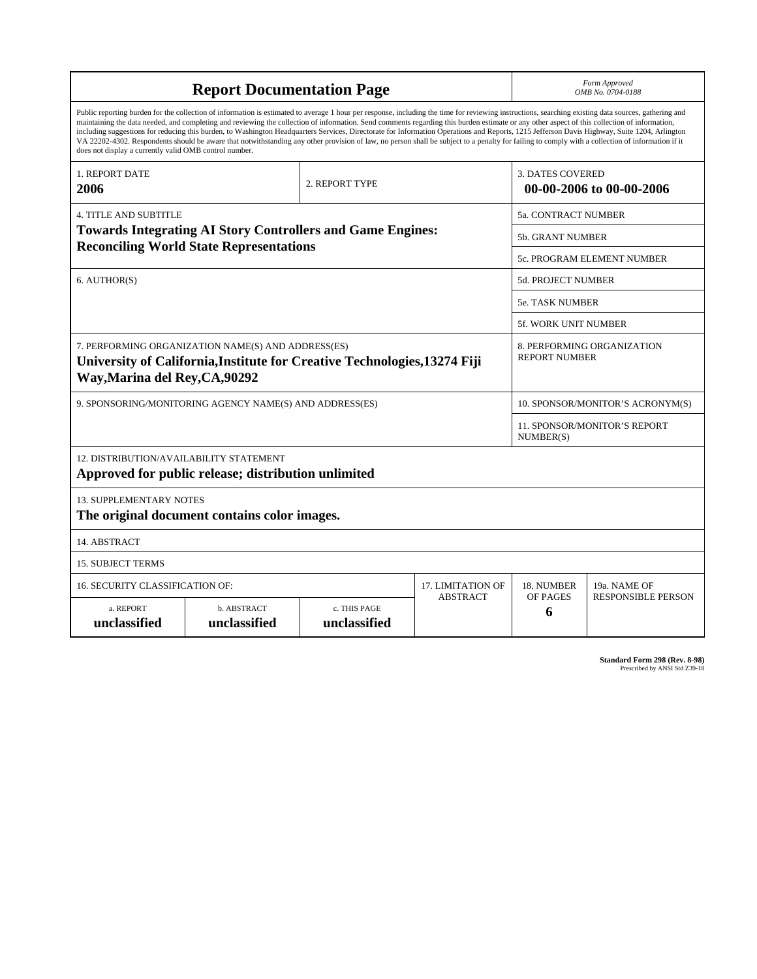| <b>Report Documentation Page</b>                                                                                                                                                                                                                                                                                                                                                                                                                                                                                                                                                                                                                                                                                                                                                                                                                                   |                             |                              |                   |                                                     | Form Approved<br>OMB No. 0704-0188                 |  |  |
|--------------------------------------------------------------------------------------------------------------------------------------------------------------------------------------------------------------------------------------------------------------------------------------------------------------------------------------------------------------------------------------------------------------------------------------------------------------------------------------------------------------------------------------------------------------------------------------------------------------------------------------------------------------------------------------------------------------------------------------------------------------------------------------------------------------------------------------------------------------------|-----------------------------|------------------------------|-------------------|-----------------------------------------------------|----------------------------------------------------|--|--|
| Public reporting burden for the collection of information is estimated to average 1 hour per response, including the time for reviewing instructions, searching existing data sources, gathering and<br>maintaining the data needed, and completing and reviewing the collection of information. Send comments regarding this burden estimate or any other aspect of this collection of information,<br>including suggestions for reducing this burden, to Washington Headquarters Services, Directorate for Information Operations and Reports, 1215 Jefferson Davis Highway, Suite 1204, Arlington<br>VA 22202-4302. Respondents should be aware that notwithstanding any other provision of law, no person shall be subject to a penalty for failing to comply with a collection of information if it<br>does not display a currently valid OMB control number. |                             |                              |                   |                                                     |                                                    |  |  |
| <b>1. REPORT DATE</b><br>2006                                                                                                                                                                                                                                                                                                                                                                                                                                                                                                                                                                                                                                                                                                                                                                                                                                      |                             | 2. REPORT TYPE               |                   | <b>3. DATES COVERED</b><br>00-00-2006 to 00-00-2006 |                                                    |  |  |
| <b>4. TITLE AND SUBTITLE</b>                                                                                                                                                                                                                                                                                                                                                                                                                                                                                                                                                                                                                                                                                                                                                                                                                                       |                             |                              |                   | 5a. CONTRACT NUMBER                                 |                                                    |  |  |
| <b>Towards Integrating AI Story Controllers and Game Engines:</b><br><b>Reconciling World State Representations</b>                                                                                                                                                                                                                                                                                                                                                                                                                                                                                                                                                                                                                                                                                                                                                |                             |                              |                   |                                                     | 5b. GRANT NUMBER                                   |  |  |
|                                                                                                                                                                                                                                                                                                                                                                                                                                                                                                                                                                                                                                                                                                                                                                                                                                                                    |                             |                              |                   |                                                     | 5c. PROGRAM ELEMENT NUMBER                         |  |  |
| 6. AUTHOR(S)                                                                                                                                                                                                                                                                                                                                                                                                                                                                                                                                                                                                                                                                                                                                                                                                                                                       |                             |                              |                   |                                                     | 5d. PROJECT NUMBER                                 |  |  |
|                                                                                                                                                                                                                                                                                                                                                                                                                                                                                                                                                                                                                                                                                                                                                                                                                                                                    |                             |                              |                   |                                                     | <b>5e. TASK NUMBER</b>                             |  |  |
|                                                                                                                                                                                                                                                                                                                                                                                                                                                                                                                                                                                                                                                                                                                                                                                                                                                                    |                             |                              |                   |                                                     | 5f. WORK UNIT NUMBER                               |  |  |
| 7. PERFORMING ORGANIZATION NAME(S) AND ADDRESS(ES)<br>University of California, Institute for Creative Technologies, 13274 Fiji<br>Way, Marina del Rey, CA, 90292                                                                                                                                                                                                                                                                                                                                                                                                                                                                                                                                                                                                                                                                                                  |                             |                              |                   |                                                     | 8. PERFORMING ORGANIZATION<br><b>REPORT NUMBER</b> |  |  |
| 9. SPONSORING/MONITORING AGENCY NAME(S) AND ADDRESS(ES)                                                                                                                                                                                                                                                                                                                                                                                                                                                                                                                                                                                                                                                                                                                                                                                                            |                             |                              |                   |                                                     | 10. SPONSOR/MONITOR'S ACRONYM(S)                   |  |  |
|                                                                                                                                                                                                                                                                                                                                                                                                                                                                                                                                                                                                                                                                                                                                                                                                                                                                    |                             |                              |                   |                                                     | <b>11. SPONSOR/MONITOR'S REPORT</b><br>NUMBER(S)   |  |  |
| 12. DISTRIBUTION/AVAILABILITY STATEMENT<br>Approved for public release; distribution unlimited                                                                                                                                                                                                                                                                                                                                                                                                                                                                                                                                                                                                                                                                                                                                                                     |                             |                              |                   |                                                     |                                                    |  |  |
| <b>13. SUPPLEMENTARY NOTES</b><br>The original document contains color images.                                                                                                                                                                                                                                                                                                                                                                                                                                                                                                                                                                                                                                                                                                                                                                                     |                             |                              |                   |                                                     |                                                    |  |  |
| 14. ABSTRACT                                                                                                                                                                                                                                                                                                                                                                                                                                                                                                                                                                                                                                                                                                                                                                                                                                                       |                             |                              |                   |                                                     |                                                    |  |  |
| <b>15. SUBJECT TERMS</b>                                                                                                                                                                                                                                                                                                                                                                                                                                                                                                                                                                                                                                                                                                                                                                                                                                           |                             |                              |                   |                                                     |                                                    |  |  |
| 16. SECURITY CLASSIFICATION OF:                                                                                                                                                                                                                                                                                                                                                                                                                                                                                                                                                                                                                                                                                                                                                                                                                                    |                             |                              | 17. LIMITATION OF | 18. NUMBER                                          | 19a. NAME OF                                       |  |  |
| a. REPORT<br>unclassified                                                                                                                                                                                                                                                                                                                                                                                                                                                                                                                                                                                                                                                                                                                                                                                                                                          | b. ABSTRACT<br>unclassified | c. THIS PAGE<br>unclassified | <b>ABSTRACT</b>   | OF PAGES<br>6                                       | <b>RESPONSIBLE PERSON</b>                          |  |  |

| <b>Standard Form 298 (Rev. 8-98)</b> |                               |  |  |
|--------------------------------------|-------------------------------|--|--|
|                                      | Prescribed by ANSI Std Z39-18 |  |  |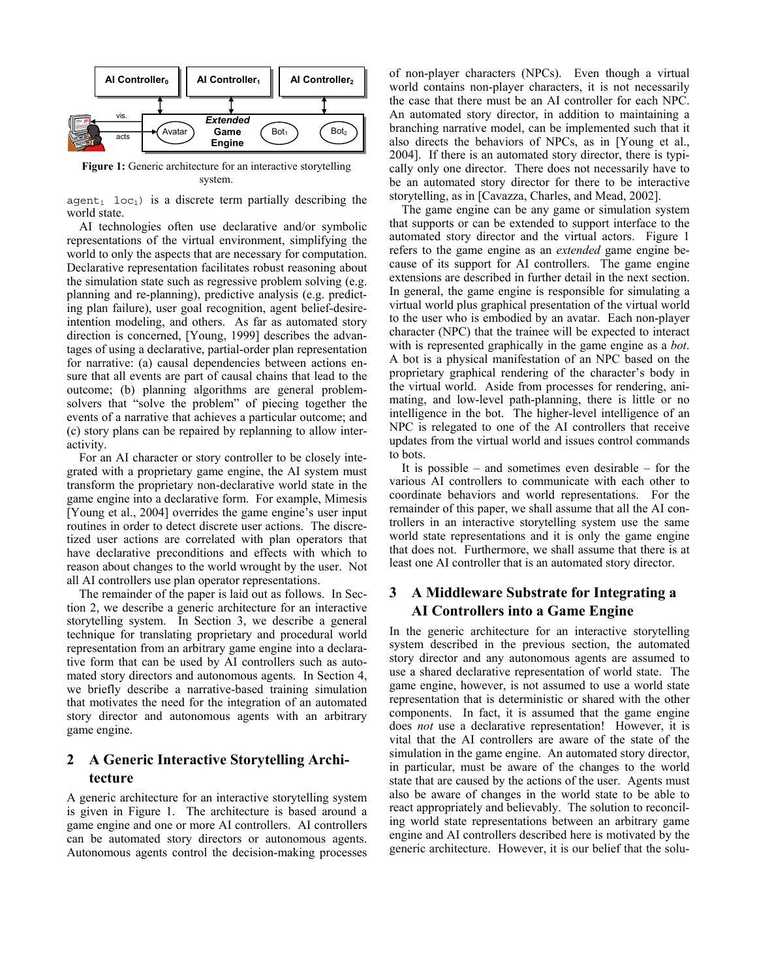

**Figure 1:** Generic architecture for an interactive storytelling system.

agent<sub>1</sub> loc<sub>1</sub>) is a discrete term partially describing the world state.

AI technologies often use declarative and/or symbolic representations of the virtual environment, simplifying the world to only the aspects that are necessary for computation. Declarative representation facilitates robust reasoning about the simulation state such as regressive problem solving (e.g. planning and re-planning), predictive analysis (e.g. predicting plan failure), user goal recognition, agent belief-desireintention modeling, and others. As far as automated story direction is concerned, [Young, 1999] describes the advantages of using a declarative, partial-order plan representation for narrative: (a) causal dependencies between actions ensure that all events are part of causal chains that lead to the outcome; (b) planning algorithms are general problemsolvers that "solve the problem" of piecing together the events of a narrative that achieves a particular outcome; and (c) story plans can be repaired by replanning to allow interactivity.

 For an AI character or story controller to be closely integrated with a proprietary game engine, the AI system must transform the proprietary non-declarative world state in the game engine into a declarative form. For example, Mimesis [Young et al., 2004] overrides the game engine's user input routines in order to detect discrete user actions. The discretized user actions are correlated with plan operators that have declarative preconditions and effects with which to reason about changes to the world wrought by the user. Not all AI controllers use plan operator representations.

The remainder of the paper is laid out as follows. In Section 2, we describe a generic architecture for an interactive storytelling system. In Section 3, we describe a general technique for translating proprietary and procedural world representation from an arbitrary game engine into a declarative form that can be used by AI controllers such as automated story directors and autonomous agents. In Section 4, we briefly describe a narrative-based training simulation that motivates the need for the integration of an automated story director and autonomous agents with an arbitrary game engine.

# **2 A Generic Interactive Storytelling Architecture**

A generic architecture for an interactive storytelling system is given in Figure 1. The architecture is based around a game engine and one or more AI controllers. AI controllers can be automated story directors or autonomous agents. Autonomous agents control the decision-making processes of non-player characters (NPCs). Even though a virtual world contains non-player characters, it is not necessarily the case that there must be an AI controller for each NPC. An automated story director, in addition to maintaining a branching narrative model, can be implemented such that it also directs the behaviors of NPCs, as in [Young et al., 2004]. If there is an automated story director, there is typically only one director. There does not necessarily have to be an automated story director for there to be interactive storytelling, as in [Cavazza, Charles, and Mead, 2002].

The game engine can be any game or simulation system that supports or can be extended to support interface to the automated story director and the virtual actors. Figure 1 refers to the game engine as an *extended* game engine because of its support for AI controllers. The game engine extensions are described in further detail in the next section. In general, the game engine is responsible for simulating a virtual world plus graphical presentation of the virtual world to the user who is embodied by an avatar. Each non-player character (NPC) that the trainee will be expected to interact with is represented graphically in the game engine as a *bot*. A bot is a physical manifestation of an NPC based on the proprietary graphical rendering of the character's body in the virtual world. Aside from processes for rendering, animating, and low-level path-planning, there is little or no intelligence in the bot. The higher-level intelligence of an NPC is relegated to one of the AI controllers that receive updates from the virtual world and issues control commands to bots.

It is possible – and sometimes even desirable – for the various AI controllers to communicate with each other to coordinate behaviors and world representations. For the remainder of this paper, we shall assume that all the AI controllers in an interactive storytelling system use the same world state representations and it is only the game engine that does not. Furthermore, we shall assume that there is at least one AI controller that is an automated story director.

# **3 A Middleware Substrate for Integrating a AI Controllers into a Game Engine**

In the generic architecture for an interactive storytelling system described in the previous section, the automated story director and any autonomous agents are assumed to use a shared declarative representation of world state. The game engine, however, is not assumed to use a world state representation that is deterministic or shared with the other components. In fact, it is assumed that the game engine does *not* use a declarative representation! However, it is vital that the AI controllers are aware of the state of the simulation in the game engine. An automated story director, in particular, must be aware of the changes to the world state that are caused by the actions of the user. Agents must also be aware of changes in the world state to be able to react appropriately and believably. The solution to reconciling world state representations between an arbitrary game engine and AI controllers described here is motivated by the generic architecture. However, it is our belief that the solu-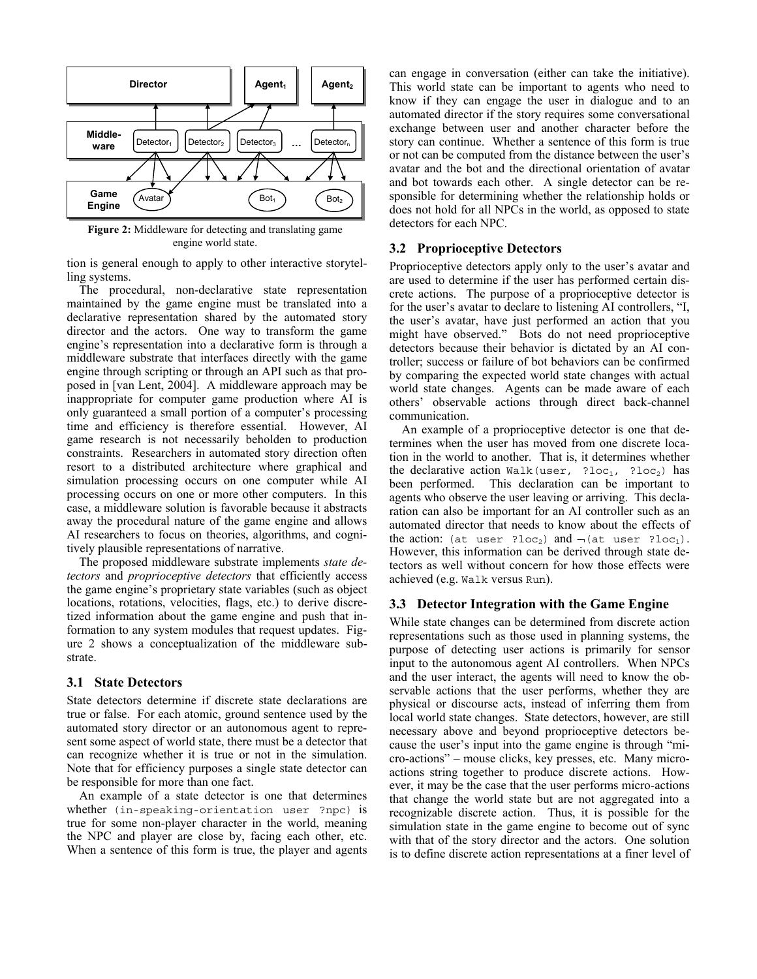

**Figure 2:** Middleware for detecting and translating game engine world state.

tion is general enough to apply to other interactive storytelling systems.

 The procedural, non-declarative state representation maintained by the game engine must be translated into a declarative representation shared by the automated story director and the actors. One way to transform the game engine's representation into a declarative form is through a middleware substrate that interfaces directly with the game engine through scripting or through an API such as that proposed in [van Lent, 2004]. A middleware approach may be inappropriate for computer game production where AI is only guaranteed a small portion of a computer's processing time and efficiency is therefore essential. However, AI game research is not necessarily beholden to production constraints. Researchers in automated story direction often resort to a distributed architecture where graphical and simulation processing occurs on one computer while AI processing occurs on one or more other computers. In this case, a middleware solution is favorable because it abstracts away the procedural nature of the game engine and allows AI researchers to focus on theories, algorithms, and cognitively plausible representations of narrative.

The proposed middleware substrate implements *state detectors* and *proprioceptive detectors* that efficiently access the game engine's proprietary state variables (such as object locations, rotations, velocities, flags, etc.) to derive discretized information about the game engine and push that information to any system modules that request updates. Figure 2 shows a conceptualization of the middleware substrate.

#### **3.1 State Detectors**

State detectors determine if discrete state declarations are true or false. For each atomic, ground sentence used by the automated story director or an autonomous agent to represent some aspect of world state, there must be a detector that can recognize whether it is true or not in the simulation. Note that for efficiency purposes a single state detector can be responsible for more than one fact.

An example of a state detector is one that determines whether (in-speaking-orientation user ?npc) is true for some non-player character in the world, meaning the NPC and player are close by, facing each other, etc. When a sentence of this form is true, the player and agents can engage in conversation (either can take the initiative). This world state can be important to agents who need to know if they can engage the user in dialogue and to an automated director if the story requires some conversational exchange between user and another character before the story can continue. Whether a sentence of this form is true or not can be computed from the distance between the user's avatar and the bot and the directional orientation of avatar and bot towards each other. A single detector can be responsible for determining whether the relationship holds or does not hold for all NPCs in the world, as opposed to state detectors for each NPC.

#### **3.2 Proprioceptive Detectors**

Proprioceptive detectors apply only to the user's avatar and are used to determine if the user has performed certain discrete actions. The purpose of a proprioceptive detector is for the user's avatar to declare to listening AI controllers, "I, the user's avatar, have just performed an action that you might have observed." Bots do not need proprioceptive detectors because their behavior is dictated by an AI controller; success or failure of bot behaviors can be confirmed by comparing the expected world state changes with actual world state changes. Agents can be made aware of each others' observable actions through direct back-channel communication.

An example of a proprioceptive detector is one that determines when the user has moved from one discrete location in the world to another. That is, it determines whether the declarative action Walk(user, ?loc<sub>1</sub>, ?loc<sub>2</sub>) has been performed. This declaration can be important to agents who observe the user leaving or arriving. This declaration can also be important for an AI controller such as an automated director that needs to know about the effects of the action: (at user ?loc<sub>2</sub>) and  $\neg$  (at user ?loc<sub>1</sub>). However, this information can be derived through state detectors as well without concern for how those effects were achieved (e.g. Walk versus Run).

#### **3.3 Detector Integration with the Game Engine**

While state changes can be determined from discrete action representations such as those used in planning systems, the purpose of detecting user actions is primarily for sensor input to the autonomous agent AI controllers. When NPCs and the user interact, the agents will need to know the observable actions that the user performs, whether they are physical or discourse acts, instead of inferring them from local world state changes. State detectors, however, are still necessary above and beyond proprioceptive detectors because the user's input into the game engine is through "micro-actions" – mouse clicks, key presses, etc. Many microactions string together to produce discrete actions. However, it may be the case that the user performs micro-actions that change the world state but are not aggregated into a recognizable discrete action. Thus, it is possible for the simulation state in the game engine to become out of sync with that of the story director and the actors. One solution is to define discrete action representations at a finer level of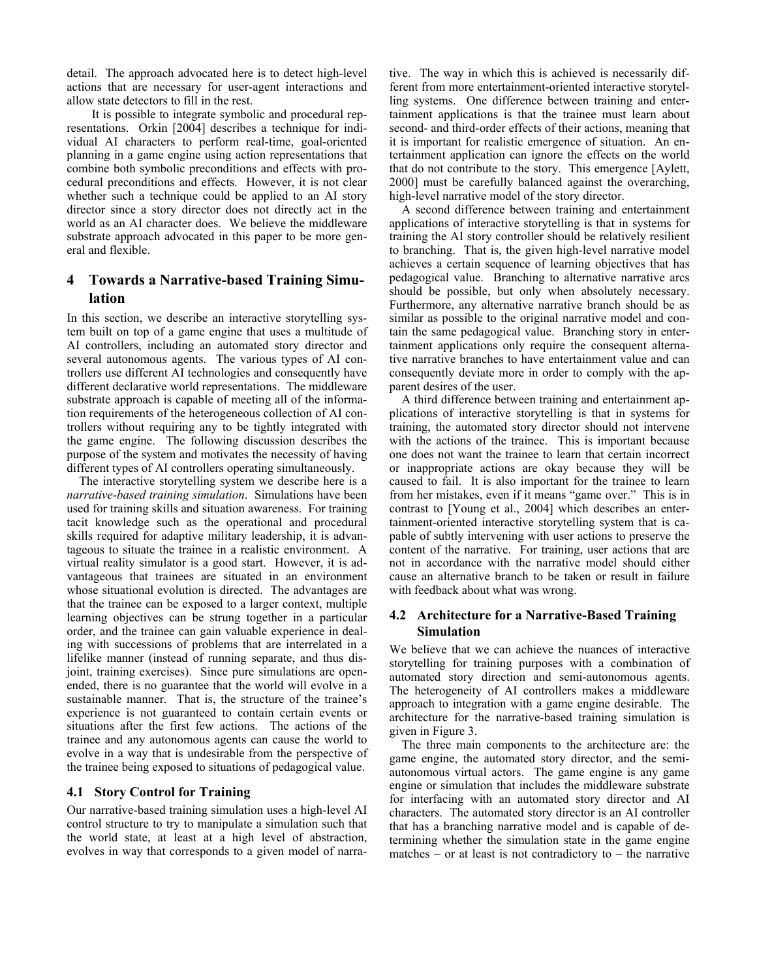detail. The approach advocated here is to detect high-level actions that are necessary for user-agent interactions and allow state detectors to fill in the rest.

 It is possible to integrate symbolic and procedural representations. Orkin [2004] describes a technique for individual AI characters to perform real-time, goal-oriented planning in a game engine using action representations that combine both symbolic preconditions and effects with procedural preconditions and effects. However, it is not clear whether such a technique could be applied to an AI story director since a story director does not directly act in the world as an AI character does. We believe the middleware substrate approach advocated in this paper to be more general and flexible.

# **4 Towards a Narrative-based Training Simulation**

In this section, we describe an interactive storytelling system built on top of a game engine that uses a multitude of AI controllers, including an automated story director and several autonomous agents. The various types of AI controllers use different AI technologies and consequently have different declarative world representations. The middleware substrate approach is capable of meeting all of the information requirements of the heterogeneous collection of AI controllers without requiring any to be tightly integrated with the game engine. The following discussion describes the purpose of the system and motivates the necessity of having different types of AI controllers operating simultaneously.

The interactive storytelling system we describe here is a *narrative-based training simulation*. Simulations have been used for training skills and situation awareness. For training tacit knowledge such as the operational and procedural skills required for adaptive military leadership, it is advantageous to situate the trainee in a realistic environment. A virtual reality simulator is a good start. However, it is advantageous that trainees are situated in an environment whose situational evolution is directed. The advantages are that the trainee can be exposed to a larger context, multiple learning objectives can be strung together in a particular order, and the trainee can gain valuable experience in dealing with successions of problems that are interrelated in a lifelike manner (instead of running separate, and thus disjoint, training exercises). Since pure simulations are openended, there is no guarantee that the world will evolve in a sustainable manner. That is, the structure of the trainee's experience is not guaranteed to contain certain events or situations after the first few actions. The actions of the trainee and any autonomous agents can cause the world to evolve in a way that is undesirable from the perspective of the trainee being exposed to situations of pedagogical value.

### **4.1 Story Control for Training**

Our narrative-based training simulation uses a high-level AI control structure to try to manipulate a simulation such that the world state, at least at a high level of abstraction, evolves in way that corresponds to a given model of narrative. The way in which this is achieved is necessarily different from more entertainment-oriented interactive storytelling systems. One difference between training and entertainment applications is that the trainee must learn about second- and third-order effects of their actions, meaning that it is important for realistic emergence of situation. An entertainment application can ignore the effects on the world that do not contribute to the story. This emergence [Aylett, 2000] must be carefully balanced against the overarching, high-level narrative model of the story director.

A second difference between training and entertainment applications of interactive storytelling is that in systems for training the AI story controller should be relatively resilient to branching. That is, the given high-level narrative model achieves a certain sequence of learning objectives that has pedagogical value. Branching to alternative narrative arcs should be possible, but only when absolutely necessary. Furthermore, any alternative narrative branch should be as similar as possible to the original narrative model and contain the same pedagogical value. Branching story in entertainment applications only require the consequent alternative narrative branches to have entertainment value and can consequently deviate more in order to comply with the apparent desires of the user.

A third difference between training and entertainment applications of interactive storytelling is that in systems for training, the automated story director should not intervene with the actions of the trainee. This is important because one does not want the trainee to learn that certain incorrect or inappropriate actions are okay because they will be caused to fail. It is also important for the trainee to learn from her mistakes, even if it means "game over." This is in contrast to [Young et al., 2004] which describes an entertainment-oriented interactive storytelling system that is capable of subtly intervening with user actions to preserve the content of the narrative. For training, user actions that are not in accordance with the narrative model should either cause an alternative branch to be taken or result in failure with feedback about what was wrong.

### **4.2 Architecture for a Narrative-Based Training Simulation**

We believe that we can achieve the nuances of interactive storytelling for training purposes with a combination of automated story direction and semi-autonomous agents. The heterogeneity of AI controllers makes a middleware approach to integration with a game engine desirable. The architecture for the narrative-based training simulation is given in Figure 3.

The three main components to the architecture are: the game engine, the automated story director, and the semiautonomous virtual actors. The game engine is any game engine or simulation that includes the middleware substrate for interfacing with an automated story director and AI characters. The automated story director is an AI controller that has a branching narrative model and is capable of determining whether the simulation state in the game engine matches – or at least is not contradictory to – the narrative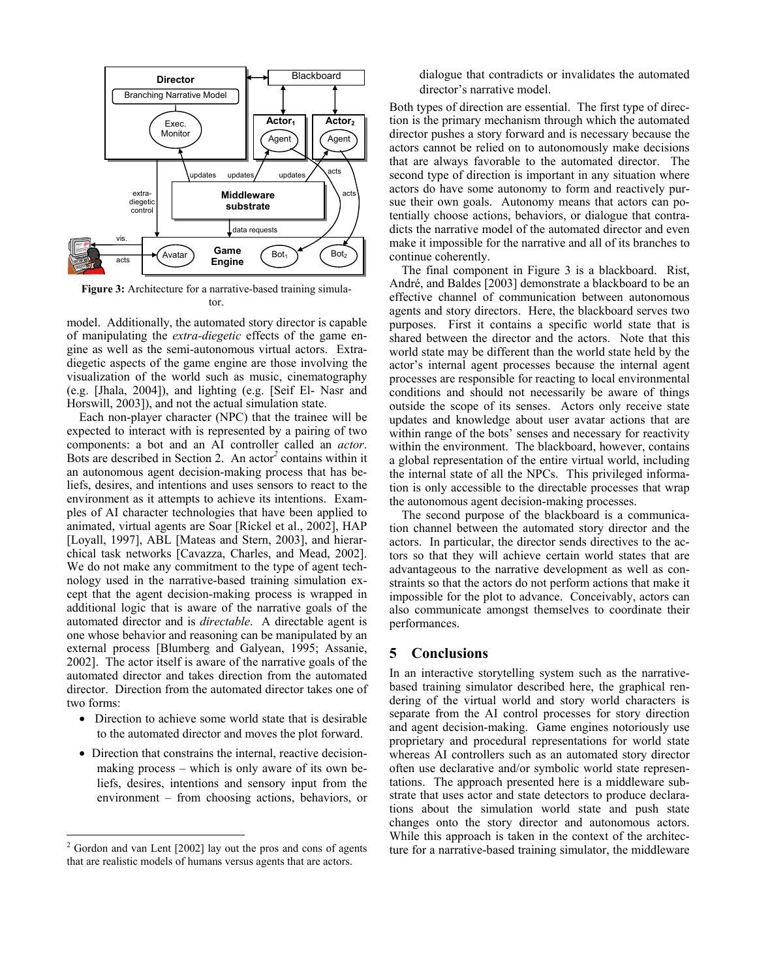

**Figure 3:** Architecture for a narrative-based training simulator.

model. Additionally, the automated story director is capable of manipulating the *extra-diegetic* effects of the game engine as well as the semi-autonomous virtual actors. Extradiegetic aspects of the game engine are those involving the visualization of the world such as music, cinematography (e.g. [Jhala, 2004]), and lighting (e.g. [Seif El- Nasr and Horswill, 2003]), and not the actual simulation state.

 Each non-player character (NPC) that the trainee will be expected to interact with is represented by a pairing of two components: a bot and an AI controller called an *actor*. Bots are described in Section 2. An actor<sup>2</sup> contains within it an autonomous agent decision-making process that has beliefs, desires, and intentions and uses sensors to react to the environment as it attempts to achieve its intentions. Examples of AI character technologies that have been applied to animated, virtual agents are Soar [Rickel et al., 2002], HAP [Loyall, 1997], ABL [Mateas and Stern, 2003], and hierarchical task networks [Cavazza, Charles, and Mead, 2002]. We do not make any commitment to the type of agent technology used in the narrative-based training simulation except that the agent decision-making process is wrapped in additional logic that is aware of the narrative goals of the automated director and is *directable*. A directable agent is one whose behavior and reasoning can be manipulated by an external process [Blumberg and Galyean, 1995; Assanie, 2002]. The actor itself is aware of the narrative goals of the automated director and takes direction from the automated director. Direction from the automated director takes one of two forms:

- Direction to achieve some world state that is desirable to the automated director and moves the plot forward.
- Direction that constrains the internal, reactive decisionmaking process – which is only aware of its own beliefs, desires, intentions and sensory input from the environment – from choosing actions, behaviors, or

 $\overline{a}$ 

dialogue that contradicts or invalidates the automated director's narrative model.

Both types of direction are essential. The first type of direction is the primary mechanism through which the automated director pushes a story forward and is necessary because the actors cannot be relied on to autonomously make decisions that are always favorable to the automated director. The second type of direction is important in any situation where actors do have some autonomy to form and reactively pursue their own goals. Autonomy means that actors can potentially choose actions, behaviors, or dialogue that contradicts the narrative model of the automated director and even make it impossible for the narrative and all of its branches to continue coherently.

 The final component in Figure 3 is a blackboard. Rist, André, and Baldes [2003] demonstrate a blackboard to be an effective channel of communication between autonomous agents and story directors. Here, the blackboard serves two purposes. First it contains a specific world state that is shared between the director and the actors. Note that this world state may be different than the world state held by the actor's internal agent processes because the internal agent processes are responsible for reacting to local environmental conditions and should not necessarily be aware of things outside the scope of its senses. Actors only receive state updates and knowledge about user avatar actions that are within range of the bots' senses and necessary for reactivity within the environment. The blackboard, however, contains a global representation of the entire virtual world, including the internal state of all the NPCs. This privileged information is only accessible to the directable processes that wrap the autonomous agent decision-making processes.

The second purpose of the blackboard is a communication channel between the automated story director and the actors. In particular, the director sends directives to the actors so that they will achieve certain world states that are advantageous to the narrative development as well as constraints so that the actors do not perform actions that make it impossible for the plot to advance. Conceivably, actors can also communicate amongst themselves to coordinate their performances.

## **5 Conclusions**

In an interactive storytelling system such as the narrativebased training simulator described here, the graphical rendering of the virtual world and story world characters is separate from the AI control processes for story direction and agent decision-making. Game engines notoriously use proprietary and procedural representations for world state whereas AI controllers such as an automated story director often use declarative and/or symbolic world state representations. The approach presented here is a middleware substrate that uses actor and state detectors to produce declarations about the simulation world state and push state changes onto the story director and autonomous actors. While this approach is taken in the context of the architecture for a narrative-based training simulator, the middleware

 $2^2$  Gordon and van Lent [2002] lay out the pros and cons of agents that are realistic models of humans versus agents that are actors.